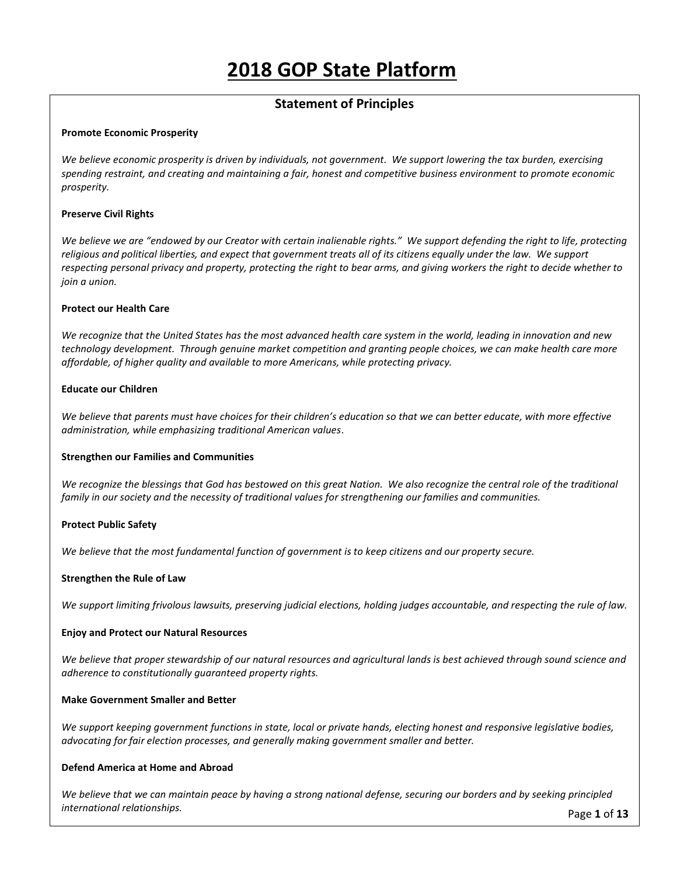# 2018 GOP State Platform

# Statement of Principles

### Promote Economic Prosperity

We believe economic prosperity is driven by individuals, not government. We support lowering the tax burden, exercising spending restraint, and creating and maintaining a fair, honest and competitive business environment to promote economic prosperity.

### Preserve Civil Rights

We believe we are "endowed by our Creator with certain inalienable rights." We support defending the right to life, protecting religious and political liberties, and expect that government treats all of its citizens equally under the law. We support respecting personal privacy and property, protecting the right to bear arms, and giving workers the right to decide whether to join a union.

### Protect our Health Care

We recognize that the United States has the most advanced health care system in the world, leading in innovation and new technology development. Through genuine market competition and granting people choices, we can make health care more affordable, of higher quality and available to more Americans, while protecting privacy.

### Educate our Children

We believe that parents must have choices for their children's education so that we can better educate, with more effective administration, while emphasizing traditional American values.

# Strengthen our Families and Communities

We recognize the blessings that God has bestowed on this great Nation. We also recognize the central role of the traditional family in our society and the necessity of traditional values for strengthening our families and communities.

# Protect Public Safety

We believe that the most fundamental function of government is to keep citizens and our property secure.

# Strengthen the Rule of Law

We support limiting frivolous lawsuits, preserving judicial elections, holding judges accountable, and respecting the rule of law.

### Enjoy and Protect our Natural Resources

We believe that proper stewardship of our natural resources and agricultural lands is best achieved through sound science and adherence to constitutionally guaranteed property rights.

### Make Government Smaller and Better

We support keeping government functions in state, local or private hands, electing honest and responsive legislative bodies, advocating for fair election processes, and generally making government smaller and better.

### Defend America at Home and Abroad

We believe that we can maintain peace by having a strong national defense, securing our borders and by seeking principled international relationships.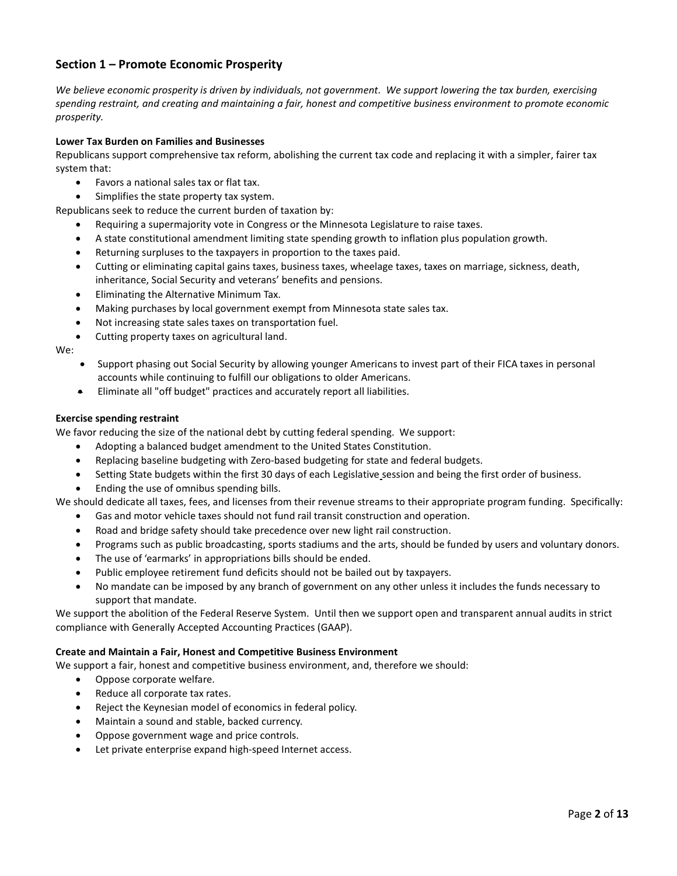# Section 1 – Promote Economic Prosperity

We believe economic prosperity is driven by individuals, not government. We support lowering the tax burden, exercising spending restraint, and creating and maintaining a fair, honest and competitive business environment to promote economic prosperity.

### Lower Tax Burden on Families and Businesses

Republicans support comprehensive tax reform, abolishing the current tax code and replacing it with a simpler, fairer tax system that:

- Favors a national sales tax or flat tax.
- Simplifies the state property tax system.

Republicans seek to reduce the current burden of taxation by:

- Requiring a supermajority vote in Congress or the Minnesota Legislature to raise taxes.
- A state constitutional amendment limiting state spending growth to inflation plus population growth.
- Returning surpluses to the taxpayers in proportion to the taxes paid.
- Cutting or eliminating capital gains taxes, business taxes, wheelage taxes, taxes on marriage, sickness, death, inheritance, Social Security and veterans' benefits and pensions.
- Eliminating the Alternative Minimum Tax.
- Making purchases by local government exempt from Minnesota state sales tax.
- Not increasing state sales taxes on transportation fuel.
- Cutting property taxes on agricultural land.

We:

- Support phasing out Social Security by allowing younger Americans to invest part of their FICA taxes in personal accounts while continuing to fulfill our obligations to older Americans.
- Eliminate all "off budget" practices and accurately report all liabilities.

### Exercise spending restraint

We favor reducing the size of the national debt by cutting federal spending. We support:

- Adopting a balanced budget amendment to the United States Constitution.
- Replacing baseline budgeting with Zero-based budgeting for state and federal budgets.
- Setting State budgets within the first 30 days of each Legislative session and being the first order of business.
- Ending the use of omnibus spending bills.

We should dedicate all taxes, fees, and licenses from their revenue streams to their appropriate program funding. Specifically:

- Gas and motor vehicle taxes should not fund rail transit construction and operation.
- Road and bridge safety should take precedence over new light rail construction.
- Programs such as public broadcasting, sports stadiums and the arts, should be funded by users and voluntary donors.
- The use of 'earmarks' in appropriations bills should be ended.
- Public employee retirement fund deficits should not be bailed out by taxpayers.
- No mandate can be imposed by any branch of government on any other unless it includes the funds necessary to support that mandate.

We support the abolition of the Federal Reserve System. Until then we support open and transparent annual audits in strict compliance with Generally Accepted Accounting Practices (GAAP).

### Create and Maintain a Fair, Honest and Competitive Business Environment

We support a fair, honest and competitive business environment, and, therefore we should:

- Oppose corporate welfare.
- Reduce all corporate tax rates.
- Reject the Keynesian model of economics in federal policy.
- Maintain a sound and stable, backed currency.
- Oppose government wage and price controls.
- Let private enterprise expand high-speed Internet access.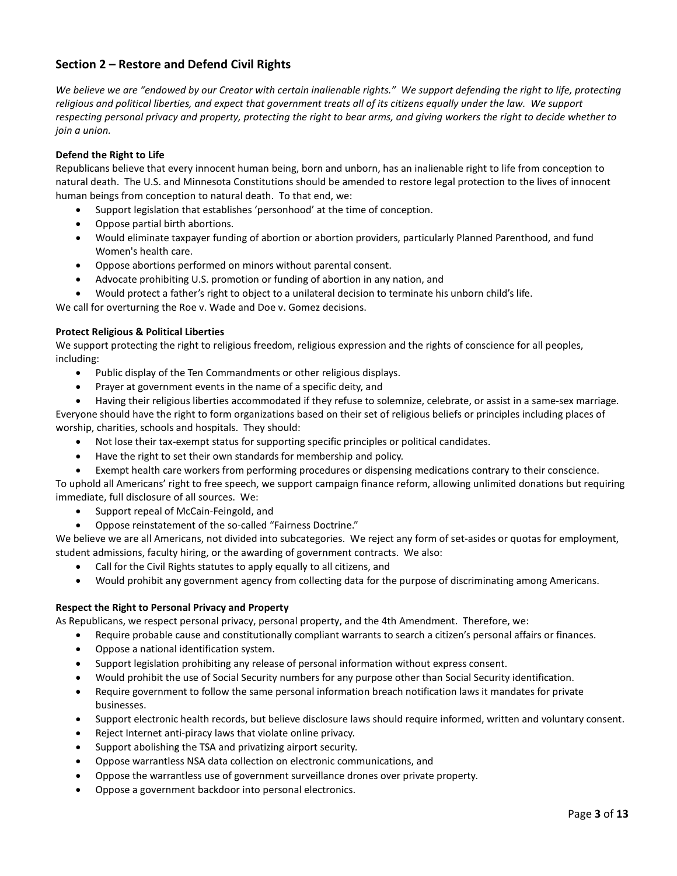# Section 2 – Restore and Defend Civil Rights

We believe we are "endowed by our Creator with certain inalienable rights." We support defending the right to life, protecting religious and political liberties, and expect that government treats all of its citizens equally under the law. We support respecting personal privacy and property, protecting the right to bear arms, and giving workers the right to decide whether to join a union.

# Defend the Right to Life

Republicans believe that every innocent human being, born and unborn, has an inalienable right to life from conception to natural death. The U.S. and Minnesota Constitutions should be amended to restore legal protection to the lives of innocent human beings from conception to natural death. To that end, we:

- Support legislation that establishes 'personhood' at the time of conception.
- Oppose partial birth abortions.
- Would eliminate taxpayer funding of abortion or abortion providers, particularly Planned Parenthood, and fund Women's health care.
- Oppose abortions performed on minors without parental consent.
- Advocate prohibiting U.S. promotion or funding of abortion in any nation, and
- Would protect a father's right to object to a unilateral decision to terminate his unborn child's life.

We call for overturning the Roe v. Wade and Doe v. Gomez decisions.

# Protect Religious & Political Liberties

We support protecting the right to religious freedom, religious expression and the rights of conscience for all peoples, including:

- Public display of the Ten Commandments or other religious displays.
- Prayer at government events in the name of a specific deity, and
- Having their religious liberties accommodated if they refuse to solemnize, celebrate, or assist in a same-sex marriage.

Everyone should have the right to form organizations based on their set of religious beliefs or principles including places of worship, charities, schools and hospitals. They should:

- Not lose their tax-exempt status for supporting specific principles or political candidates.
- Have the right to set their own standards for membership and policy.
- Exempt health care workers from performing procedures or dispensing medications contrary to their conscience.

To uphold all Americans' right to free speech, we support campaign finance reform, allowing unlimited donations but requiring immediate, full disclosure of all sources. We:

- Support repeal of McCain-Feingold, and
- Oppose reinstatement of the so-called "Fairness Doctrine."

We believe we are all Americans, not divided into subcategories. We reject any form of set-asides or quotas for employment, student admissions, faculty hiring, or the awarding of government contracts. We also:

- Call for the Civil Rights statutes to apply equally to all citizens, and
- Would prohibit any government agency from collecting data for the purpose of discriminating among Americans.

# Respect the Right to Personal Privacy and Property

As Republicans, we respect personal privacy, personal property, and the 4th Amendment. Therefore, we:

- Require probable cause and constitutionally compliant warrants to search a citizen's personal affairs or finances.
- Oppose a national identification system.
- Support legislation prohibiting any release of personal information without express consent.
- Would prohibit the use of Social Security numbers for any purpose other than Social Security identification.
- Require government to follow the same personal information breach notification laws it mandates for private businesses.
- Support electronic health records, but believe disclosure laws should require informed, written and voluntary consent.
- Reject Internet anti-piracy laws that violate online privacy.
- Support abolishing the TSA and privatizing airport security.
- Oppose warrantless NSA data collection on electronic communications, and
- Oppose the warrantless use of government surveillance drones over private property.
- Oppose a government backdoor into personal electronics.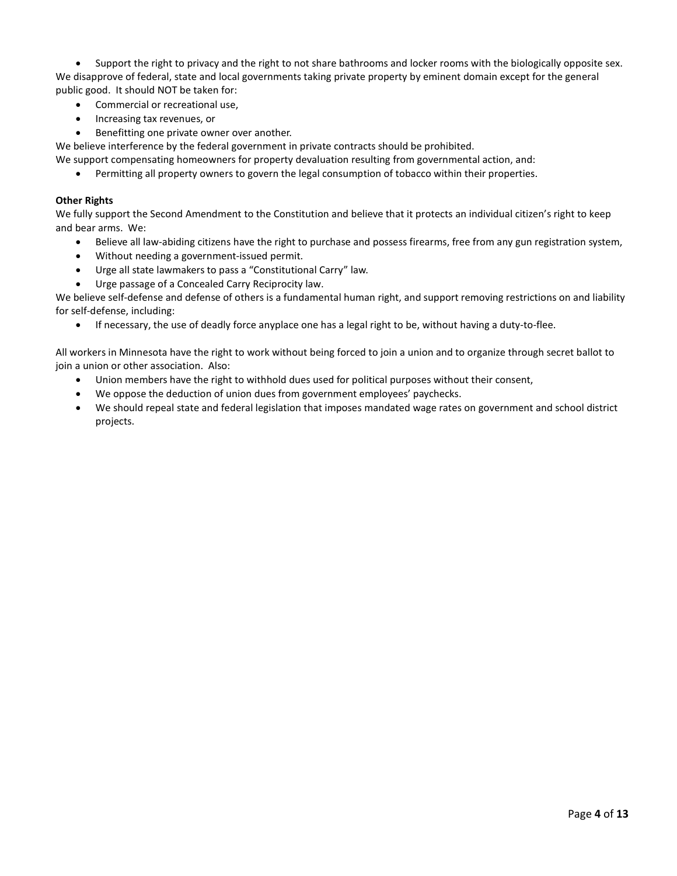Support the right to privacy and the right to not share bathrooms and locker rooms with the biologically opposite sex. We disapprove of federal, state and local governments taking private property by eminent domain except for the general public good. It should NOT be taken for:

- Commercial or recreational use,
- Increasing tax revenues, or
- **•** Benefitting one private owner over another.

We believe interference by the federal government in private contracts should be prohibited.

We support compensating homeowners for property devaluation resulting from governmental action, and:

Permitting all property owners to govern the legal consumption of tobacco within their properties.

# Other Rights

We fully support the Second Amendment to the Constitution and believe that it protects an individual citizen's right to keep and bear arms. We:

- Believe all law-abiding citizens have the right to purchase and possess firearms, free from any gun registration system,
- Without needing a government-issued permit.
- Urge all state lawmakers to pass a "Constitutional Carry" law.
- Urge passage of a Concealed Carry Reciprocity law.

We believe self-defense and defense of others is a fundamental human right, and support removing restrictions on and liability for self-defense, including:

If necessary, the use of deadly force anyplace one has a legal right to be, without having a duty-to-flee.

All workers in Minnesota have the right to work without being forced to join a union and to organize through secret ballot to join a union or other association. Also:

- Union members have the right to withhold dues used for political purposes without their consent,
- We oppose the deduction of union dues from government employees' paychecks.
- We should repeal state and federal legislation that imposes mandated wage rates on government and school district projects.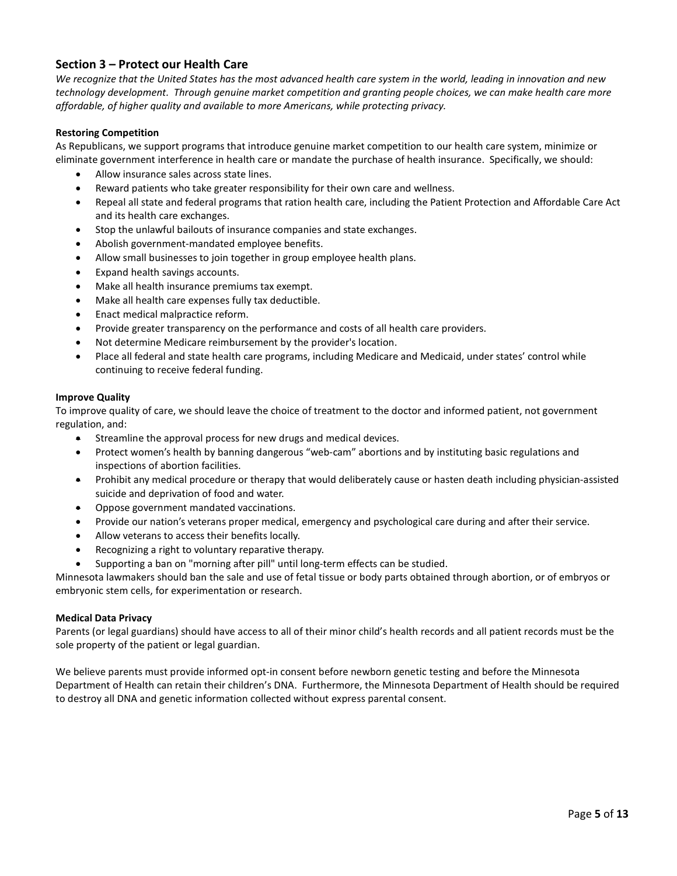# Section 3 – Protect our Health Care

We recognize that the United States has the most advanced health care system in the world, leading in innovation and new technology development. Through genuine market competition and granting people choices, we can make health care more affordable, of higher quality and available to more Americans, while protecting privacy.

### Restoring Competition

As Republicans, we support programs that introduce genuine market competition to our health care system, minimize or eliminate government interference in health care or mandate the purchase of health insurance. Specifically, we should:

- Allow insurance sales across state lines.
- Reward patients who take greater responsibility for their own care and wellness.
- Repeal all state and federal programs that ration health care, including the Patient Protection and Affordable Care Act and its health care exchanges.
- Stop the unlawful bailouts of insurance companies and state exchanges.
- Abolish government-mandated employee benefits.
- Allow small businesses to join together in group employee health plans.
- Expand health savings accounts.
- Make all health insurance premiums tax exempt.
- Make all health care expenses fully tax deductible.
- Enact medical malpractice reform.
- Provide greater transparency on the performance and costs of all health care providers.
- Not determine Medicare reimbursement by the provider's location.
- Place all federal and state health care programs, including Medicare and Medicaid, under states' control while continuing to receive federal funding.

#### Improve Quality

To improve quality of care, we should leave the choice of treatment to the doctor and informed patient, not government regulation, and:

- Streamline the approval process for new drugs and medical devices.
- Protect women's health by banning dangerous "web-cam" abortions and by instituting basic regulations and inspections of abortion facilities.
- Prohibit any medical procedure or therapy that would deliberately cause or hasten death including physician-assisted suicide and deprivation of food and water.
- Oppose government mandated vaccinations.
- Provide our nation's veterans proper medical, emergency and psychological care during and after their service.
- Allow veterans to access their benefits locally.
- Recognizing a right to voluntary reparative therapy.
- Supporting a ban on "morning after pill" until long-term effects can be studied.

Minnesota lawmakers should ban the sale and use of fetal tissue or body parts obtained through abortion, or of embryos or embryonic stem cells, for experimentation or research.

### Medical Data Privacy

Parents (or legal guardians) should have access to all of their minor child's health records and all patient records must be the sole property of the patient or legal guardian.

We believe parents must provide informed opt-in consent before newborn genetic testing and before the Minnesota Department of Health can retain their children's DNA. Furthermore, the Minnesota Department of Health should be required to destroy all DNA and genetic information collected without express parental consent.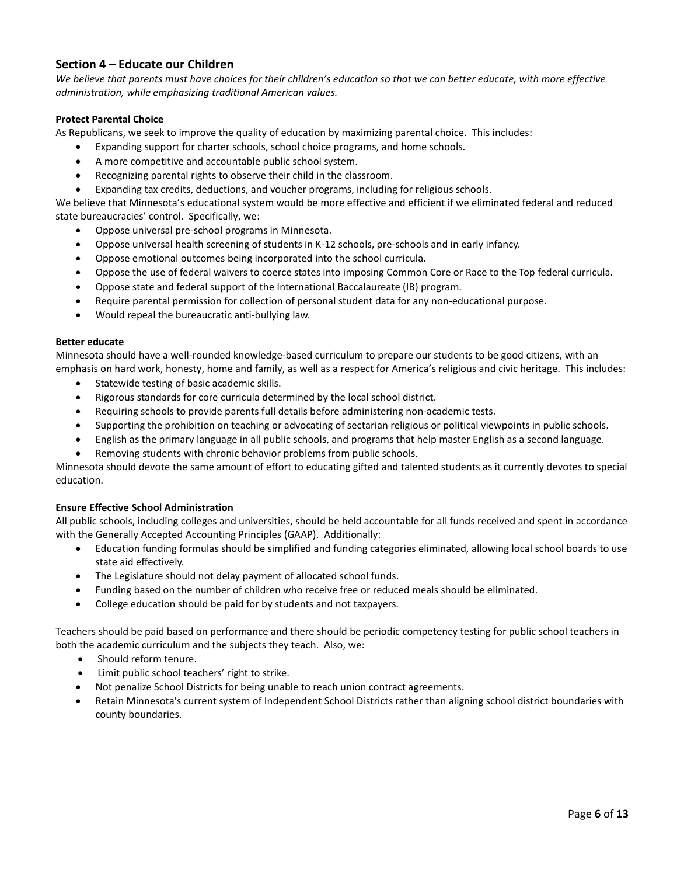# Section 4 – Educate our Children

We believe that parents must have choices for their children's education so that we can better educate, with more effective administration, while emphasizing traditional American values.

### Protect Parental Choice

As Republicans, we seek to improve the quality of education by maximizing parental choice. This includes:

- Expanding support for charter schools, school choice programs, and home schools.
- A more competitive and accountable public school system.
- Recognizing parental rights to observe their child in the classroom.
- Expanding tax credits, deductions, and voucher programs, including for religious schools.

We believe that Minnesota's educational system would be more effective and efficient if we eliminated federal and reduced state bureaucracies' control. Specifically, we:

- Oppose universal pre-school programs in Minnesota.
- Oppose universal health screening of students in K-12 schools, pre-schools and in early infancy.
- Oppose emotional outcomes being incorporated into the school curricula.
- Oppose the use of federal waivers to coerce states into imposing Common Core or Race to the Top federal curricula.
- Oppose state and federal support of the International Baccalaureate (IB) program.
- Require parental permission for collection of personal student data for any non-educational purpose.
- Would repeal the bureaucratic anti-bullying law.

### Better educate

Minnesota should have a well-rounded knowledge-based curriculum to prepare our students to be good citizens, with an emphasis on hard work, honesty, home and family, as well as a respect for America's religious and civic heritage. This includes:

- Statewide testing of basic academic skills.
- Rigorous standards for core curricula determined by the local school district.
- Requiring schools to provide parents full details before administering non-academic tests.
- Supporting the prohibition on teaching or advocating of sectarian religious or political viewpoints in public schools.
- English as the primary language in all public schools, and programs that help master English as a second language.
- Removing students with chronic behavior problems from public schools.

Minnesota should devote the same amount of effort to educating gifted and talented students as it currently devotes to special education.

# Ensure Effective School Administration

All public schools, including colleges and universities, should be held accountable for all funds received and spent in accordance with the Generally Accepted Accounting Principles (GAAP). Additionally:

- Education funding formulas should be simplified and funding categories eliminated, allowing local school boards to use state aid effectively.
- The Legislature should not delay payment of allocated school funds.
- Funding based on the number of children who receive free or reduced meals should be eliminated.
- College education should be paid for by students and not taxpayers.

Teachers should be paid based on performance and there should be periodic competency testing for public school teachers in both the academic curriculum and the subjects they teach. Also, we:

- Should reform tenure.
- Limit public school teachers' right to strike.
- Not penalize School Districts for being unable to reach union contract agreements.
- Retain Minnesota's current system of Independent School Districts rather than aligning school district boundaries with county boundaries.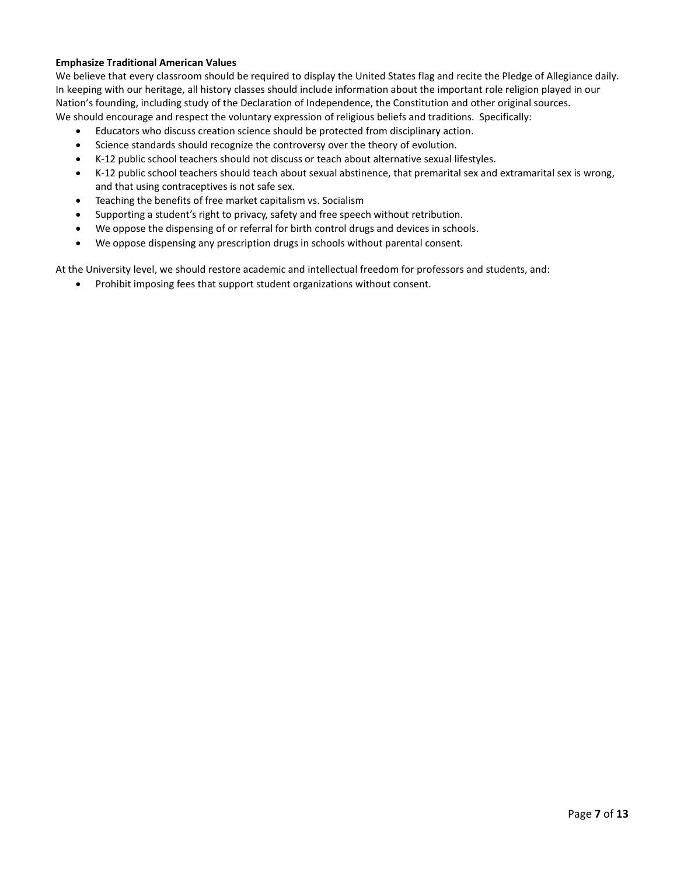### Emphasize Traditional American Values

We believe that every classroom should be required to display the United States flag and recite the Pledge of Allegiance daily. In keeping with our heritage, all history classes should include information about the important role religion played in our Nation's founding, including study of the Declaration of Independence, the Constitution and other original sources. We should encourage and respect the voluntary expression of religious beliefs and traditions. Specifically:

- Educators who discuss creation science should be protected from disciplinary action.
- Science standards should recognize the controversy over the theory of evolution.
- K-12 public school teachers should not discuss or teach about alternative sexual lifestyles.
- K-12 public school teachers should teach about sexual abstinence, that premarital sex and extramarital sex is wrong, and that using contraceptives is not safe sex.
- Teaching the benefits of free market capitalism vs. Socialism
- Supporting a student's right to privacy, safety and free speech without retribution.
- We oppose the dispensing of or referral for birth control drugs and devices in schools.
- We oppose dispensing any prescription drugs in schools without parental consent.

At the University level, we should restore academic and intellectual freedom for professors and students, and:

• Prohibit imposing fees that support student organizations without consent.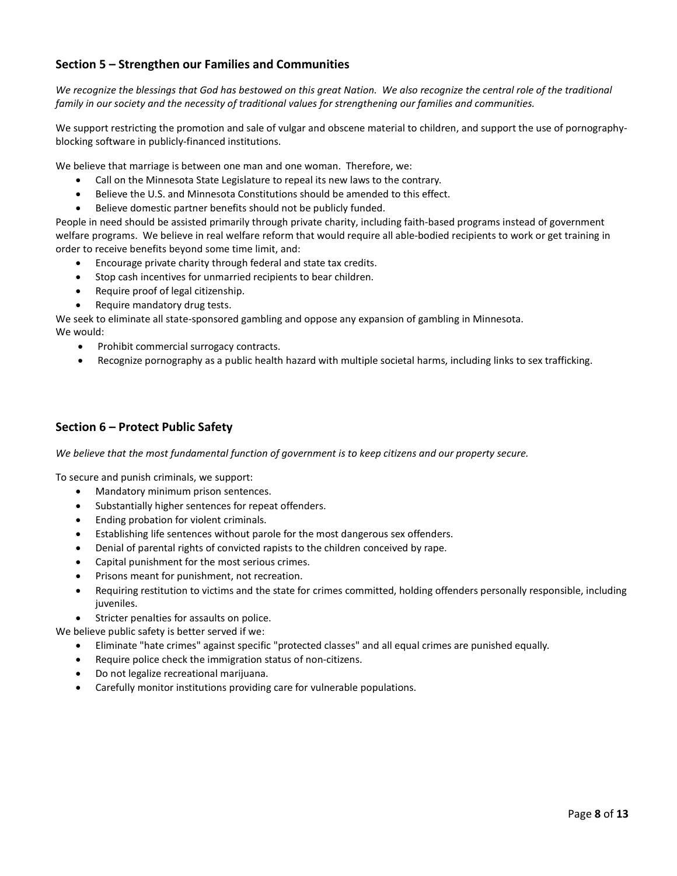# Section 5 – Strengthen our Families and Communities

We recognize the blessings that God has bestowed on this great Nation. We also recognize the central role of the traditional family in our society and the necessity of traditional values for strengthening our families and communities.

We support restricting the promotion and sale of vulgar and obscene material to children, and support the use of pornographyblocking software in publicly-financed institutions.

We believe that marriage is between one man and one woman. Therefore, we:

- Call on the Minnesota State Legislature to repeal its new laws to the contrary.
- Believe the U.S. and Minnesota Constitutions should be amended to this effect.
- Believe domestic partner benefits should not be publicly funded.

People in need should be assisted primarily through private charity, including faith-based programs instead of government welfare programs. We believe in real welfare reform that would require all able-bodied recipients to work or get training in order to receive benefits beyond some time limit, and:

- Encourage private charity through federal and state tax credits.
- Stop cash incentives for unmarried recipients to bear children.
- Require proof of legal citizenship.
- Require mandatory drug tests.

We seek to eliminate all state-sponsored gambling and oppose any expansion of gambling in Minnesota.

We would:

- Prohibit commercial surrogacy contracts.
- Recognize pornography as a public health hazard with multiple societal harms, including links to sex trafficking.

# Section 6 – Protect Public Safety

We believe that the most fundamental function of government is to keep citizens and our property secure.

To secure and punish criminals, we support:

- Mandatory minimum prison sentences.
- Substantially higher sentences for repeat offenders.
- Ending probation for violent criminals.
- Establishing life sentences without parole for the most dangerous sex offenders.
- Denial of parental rights of convicted rapists to the children conceived by rape.
- Capital punishment for the most serious crimes.
- Prisons meant for punishment, not recreation.
- Requiring restitution to victims and the state for crimes committed, holding offenders personally responsible, including juveniles.
- Stricter penalties for assaults on police.

We believe public safety is better served if we:

- Eliminate "hate crimes" against specific "protected classes" and all equal crimes are punished equally.
- Require police check the immigration status of non-citizens.
- Do not legalize recreational marijuana.
- Carefully monitor institutions providing care for vulnerable populations.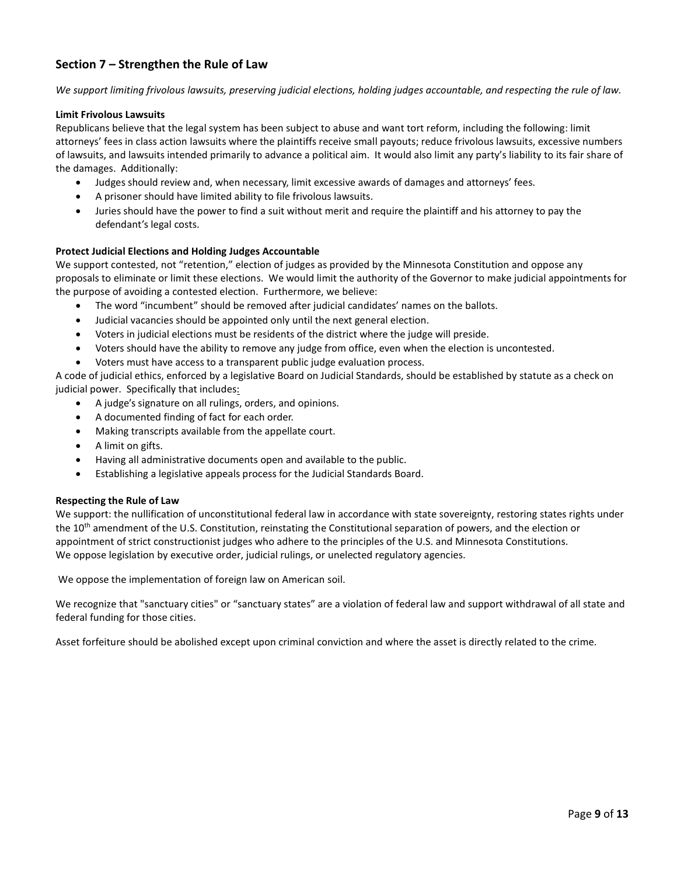# Section 7 – Strengthen the Rule of Law

We support limiting frivolous lawsuits, preserving judicial elections, holding judges accountable, and respecting the rule of law.

### Limit Frivolous Lawsuits

Republicans believe that the legal system has been subject to abuse and want tort reform, including the following: limit attorneys' fees in class action lawsuits where the plaintiffs receive small payouts; reduce frivolous lawsuits, excessive numbers of lawsuits, and lawsuits intended primarily to advance a political aim. It would also limit any party's liability to its fair share of the damages. Additionally:

- Judges should review and, when necessary, limit excessive awards of damages and attorneys' fees.
- A prisoner should have limited ability to file frivolous lawsuits.
- Juries should have the power to find a suit without merit and require the plaintiff and his attorney to pay the defendant's legal costs.

### Protect Judicial Elections and Holding Judges Accountable

We support contested, not "retention," election of judges as provided by the Minnesota Constitution and oppose any proposals to eliminate or limit these elections. We would limit the authority of the Governor to make judicial appointments for the purpose of avoiding a contested election. Furthermore, we believe:

- The word "incumbent" should be removed after judicial candidates' names on the ballots.
- Judicial vacancies should be appointed only until the next general election.
- Voters in judicial elections must be residents of the district where the judge will preside.
- Voters should have the ability to remove any judge from office, even when the election is uncontested.
- Voters must have access to a transparent public judge evaluation process.

A code of judicial ethics, enforced by a legislative Board on Judicial Standards, should be established by statute as a check on judicial power. Specifically that includes:

- A judge's signature on all rulings, orders, and opinions.
- A documented finding of fact for each order.
- Making transcripts available from the appellate court.
- A limit on gifts.
- Having all administrative documents open and available to the public.
- Establishing a legislative appeals process for the Judicial Standards Board.

### Respecting the Rule of Law

We support: the nullification of unconstitutional federal law in accordance with state sovereignty, restoring states rights under the 10<sup>th</sup> amendment of the U.S. Constitution, reinstating the Constitutional separation of powers, and the election or appointment of strict constructionist judges who adhere to the principles of the U.S. and Minnesota Constitutions. We oppose legislation by executive order, judicial rulings, or unelected regulatory agencies.

We oppose the implementation of foreign law on American soil.

We recognize that "sanctuary cities" or "sanctuary states" are a violation of federal law and support withdrawal of all state and federal funding for those cities.

Asset forfeiture should be abolished except upon criminal conviction and where the asset is directly related to the crime.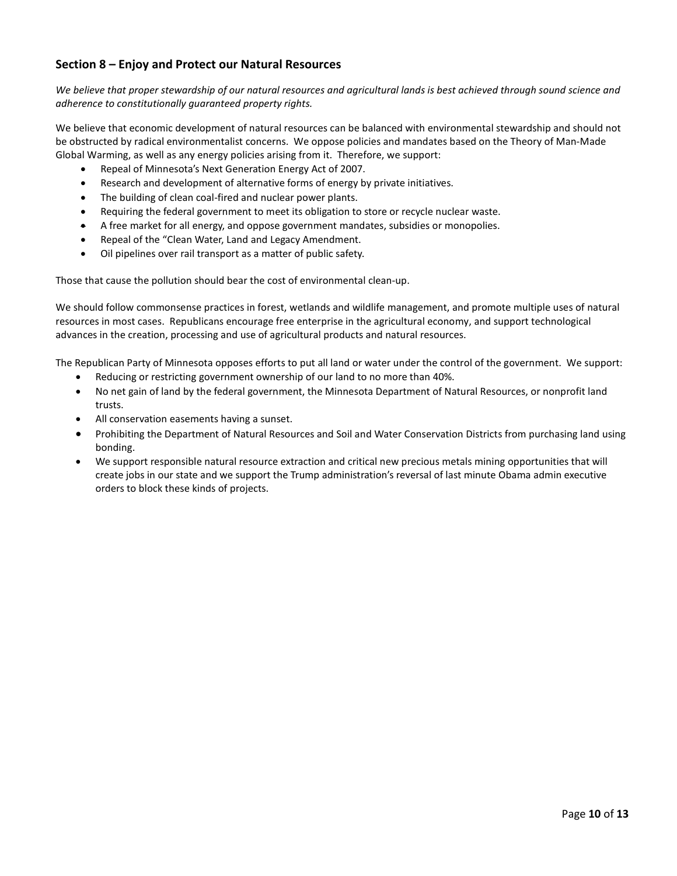# Section 8 – Enjoy and Protect our Natural Resources

We believe that proper stewardship of our natural resources and agricultural lands is best achieved through sound science and adherence to constitutionally guaranteed property rights.

We believe that economic development of natural resources can be balanced with environmental stewardship and should not be obstructed by radical environmentalist concerns. We oppose policies and mandates based on the Theory of Man-Made Global Warming, as well as any energy policies arising from it. Therefore, we support:

- Repeal of Minnesota's Next Generation Energy Act of 2007.
- Research and development of alternative forms of energy by private initiatives.
- The building of clean coal-fired and nuclear power plants.
- Requiring the federal government to meet its obligation to store or recycle nuclear waste.
- A free market for all energy, and oppose government mandates, subsidies or monopolies.
- Repeal of the "Clean Water, Land and Legacy Amendment.
- Oil pipelines over rail transport as a matter of public safety.

Those that cause the pollution should bear the cost of environmental clean-up.

We should follow commonsense practices in forest, wetlands and wildlife management, and promote multiple uses of natural resources in most cases. Republicans encourage free enterprise in the agricultural economy, and support technological advances in the creation, processing and use of agricultural products and natural resources.

The Republican Party of Minnesota opposes efforts to put all land or water under the control of the government. We support:

- Reducing or restricting government ownership of our land to no more than 40%.
- No net gain of land by the federal government, the Minnesota Department of Natural Resources, or nonprofit land trusts.
- All conservation easements having a sunset.
- Prohibiting the Department of Natural Resources and Soil and Water Conservation Districts from purchasing land using bonding.
- We support responsible natural resource extraction and critical new precious metals mining opportunities that will create jobs in our state and we support the Trump administration's reversal of last minute Obama admin executive orders to block these kinds of projects.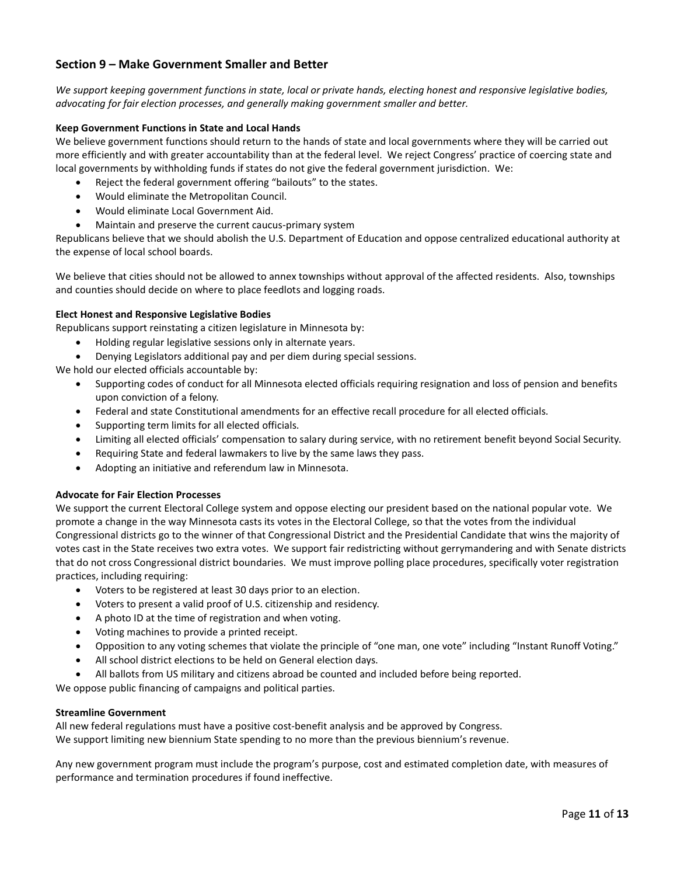# Section 9 – Make Government Smaller and Better

We support keeping government functions in state, local or private hands, electing honest and responsive legislative bodies, advocating for fair election processes, and generally making government smaller and better.

### Keep Government Functions in State and Local Hands

We believe government functions should return to the hands of state and local governments where they will be carried out more efficiently and with greater accountability than at the federal level. We reject Congress' practice of coercing state and local governments by withholding funds if states do not give the federal government jurisdiction. We:

- Reject the federal government offering "bailouts" to the states.
- Would eliminate the Metropolitan Council.
- Would eliminate Local Government Aid.
- Maintain and preserve the current caucus-primary system

Republicans believe that we should abolish the U.S. Department of Education and oppose centralized educational authority at the expense of local school boards.

We believe that cities should not be allowed to annex townships without approval of the affected residents. Also, townships and counties should decide on where to place feedlots and logging roads.

### Elect Honest and Responsive Legislative Bodies

Republicans support reinstating a citizen legislature in Minnesota by:

- Holding regular legislative sessions only in alternate years.
- Denying Legislators additional pay and per diem during special sessions.

We hold our elected officials accountable by:

- Supporting codes of conduct for all Minnesota elected officials requiring resignation and loss of pension and benefits upon conviction of a felony.
- Federal and state Constitutional amendments for an effective recall procedure for all elected officials.
- Supporting term limits for all elected officials.
- Limiting all elected officials' compensation to salary during service, with no retirement benefit beyond Social Security.
- Requiring State and federal lawmakers to live by the same laws they pass.
- Adopting an initiative and referendum law in Minnesota.

### Advocate for Fair Election Processes

We support the current Electoral College system and oppose electing our president based on the national popular vote. We promote a change in the way Minnesota casts its votes in the Electoral College, so that the votes from the individual Congressional districts go to the winner of that Congressional District and the Presidential Candidate that wins the majority of votes cast in the State receives two extra votes. We support fair redistricting without gerrymandering and with Senate districts that do not cross Congressional district boundaries. We must improve polling place procedures, specifically voter registration practices, including requiring:

- Voters to be registered at least 30 days prior to an election.
- Voters to present a valid proof of U.S. citizenship and residency.
- A photo ID at the time of registration and when voting.
- Voting machines to provide a printed receipt.
- Opposition to any voting schemes that violate the principle of "one man, one vote" including "Instant Runoff Voting."
- All school district elections to be held on General election days.
- All ballots from US military and citizens abroad be counted and included before being reported.

We oppose public financing of campaigns and political parties.

### Streamline Government

All new federal regulations must have a positive cost-benefit analysis and be approved by Congress. We support limiting new biennium State spending to no more than the previous biennium's revenue.

Any new government program must include the program's purpose, cost and estimated completion date, with measures of performance and termination procedures if found ineffective.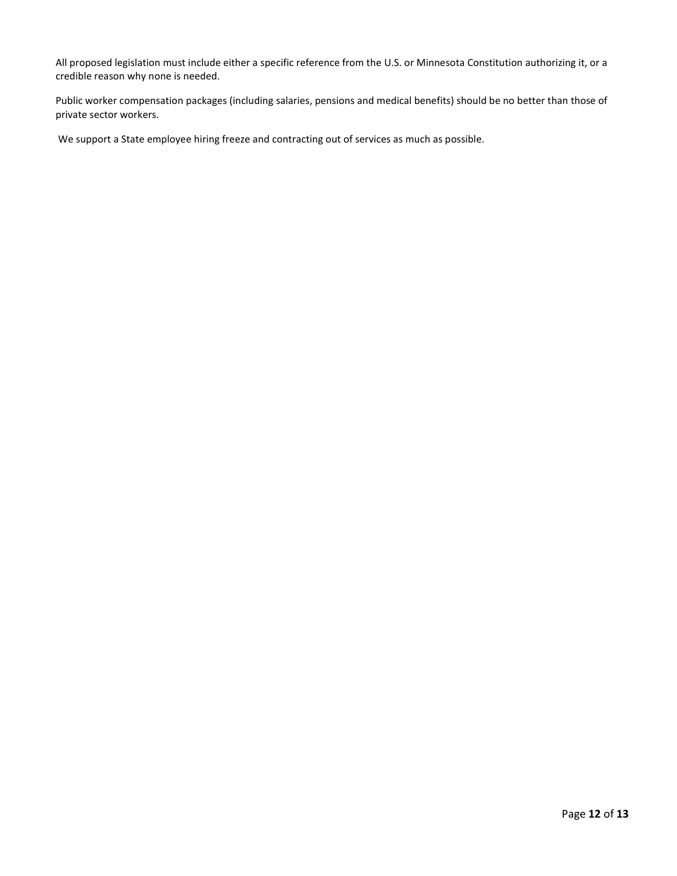All proposed legislation must include either a specific reference from the U.S. or Minnesota Constitution authorizing it, or a credible reason why none is needed.

Public worker compensation packages (including salaries, pensions and medical benefits) should be no better than those of private sector workers.

We support a State employee hiring freeze and contracting out of services as much as possible.